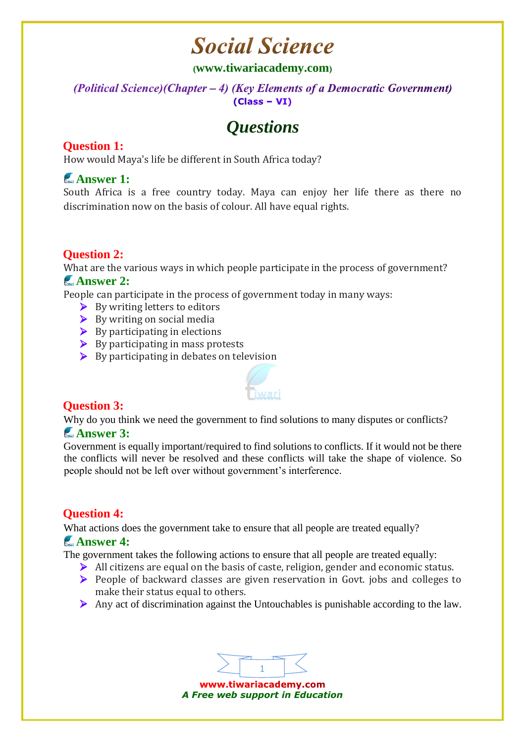# **Social Science**

### **([www.tiwariacademy.com](http://www.tiwariacademy.com/))**

#### (Political Science) (Chapter – 4) (Key Elements of a Democratic Government)  $(Class - VI)$

# *Questions*

## **Question 1:**

How would Maya's life be different in South Africa today?

# **Answer 1:**

South Africa is a free country today. Maya can enjoy her life there as there no discrimination now on the basis of colour. All have equal rights.

# **Question 2:**

What are the various ways in which people participate in the process of government? **Answer 2:** 

People can participate in the process of government today in many ways:

- $\triangleright$  By writing letters to editors
- $\triangleright$  By writing on social media
- $\triangleright$  By participating in elections
- $\triangleright$  By participating in mass protests
- $\triangleright$  By participating in debates on television



# **Question 3:**

Why do you think we need the government to find solutions to many disputes or conflicts? **Answer 3:** 

Government is equally important/required to find solutions to conflicts. If it would not be there the conflicts will never be resolved and these conflicts will take the shape of violence. So people should not be left over without government's interference.

# **Question 4:**

What actions does the government take to ensure that all people are treated equally? **Answer 4:** 

#### The government takes the following actions to ensure that all people are treated equally:

- $\triangleright$  All citizens are equal on the basis of caste, religion, gender and economic status.
- People of backward classes are given reservation in Govt. jobs and colleges to make their status equal to others.
- $\triangleright$  Any act of discrimination against the Untouchables is punishable according to the law.